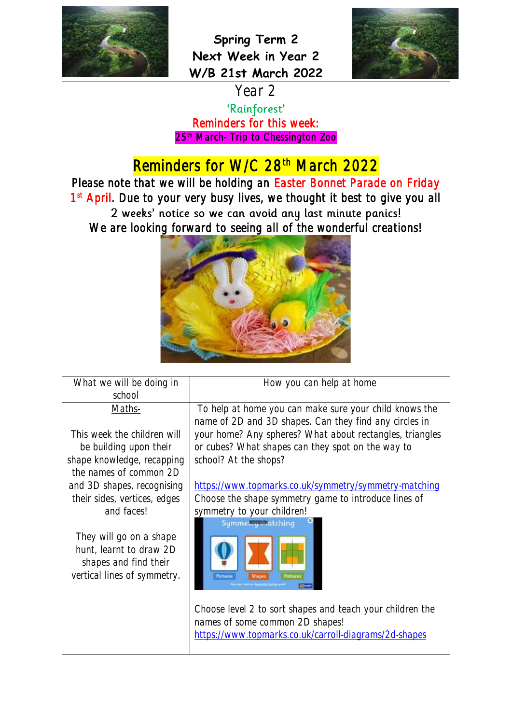



Year 2 'Rainforest' Reminders for this week: 25th March- Trip to Chessington Zoo

## Reminders for W/C 28<sup>th</sup> March 2022

Please note that we will be holding an Easter Bonnet Parade on Friday 1<sup>st</sup> April. Due to your very busy lives, we thought it best to give you all 2 weeks' notice so we can avoid any last minute panics! We are looking forward to seeing all of the wonderful creations!



What we will be doing in school Maths-

This week the children will be building upon their shape knowledge, recapping the names of common 2D and 3D shapes, recognising their sides, vertices, edges and faces!

They will go on a shape hunt, learnt to draw 2D shapes and find their vertical lines of symmetry.

To help at home you can make sure your child knows the name of 2D and 3D shapes. Can they find any circles in your home? Any spheres? What about rectangles, triangles or cubes? What shapes can they spot on the way to

How you can help at home

<https://www.topmarks.co.uk/symmetry/symmetry-matching> Choose the shape symmetry game to introduce lines of symmetry to your children!



school? At the shops?

Choose level 2 to sort shapes and teach your children the names of some common 2D shapes! <https://www.topmarks.co.uk/carroll-diagrams/2d-shapes>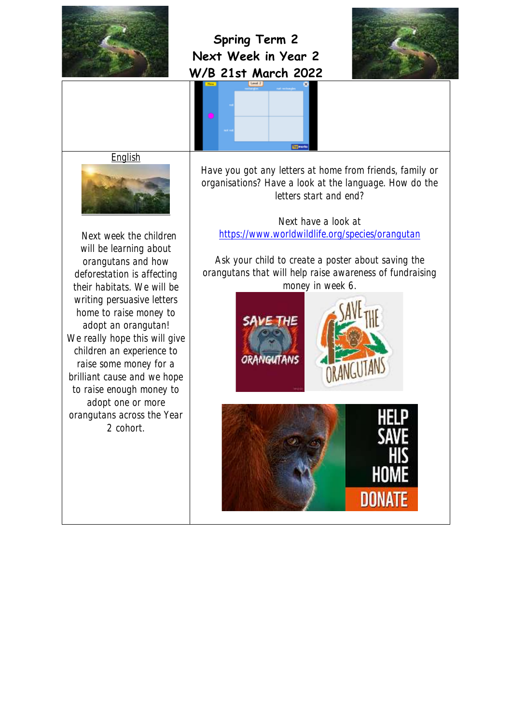





**English** 



 Next week the children will be learning about orangutans and how deforestation is affecting their habitats. We will be writing persuasive letters home to raise money to adopt an orangutan! We really hope this will give children an experience to raise some money for a brilliant cause and we hope to raise enough money to adopt one or more orangutans across the Year 2 cohort.

Have you got any letters at home from friends, family or organisations? Have a look at the language. How do the letters start and end?

Next have a look at <https://www.worldwildlife.org/species/orangutan>

Ask your child to create a poster about saving the orangutans that will help raise awareness of fundraising money in week 6.

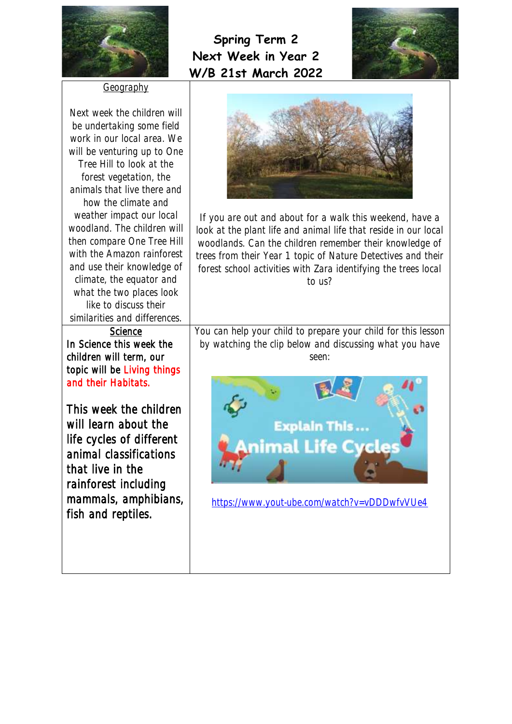



Geography

Next week the children will be undertaking some field work in our local area. We will be venturing up to One Tree Hill to look at the forest vegetation, the animals that live there and how the climate and weather impact our local woodland. The children will then compare One Tree Hill with the Amazon rainforest and use their knowledge of climate, the equator and what the two places look like to discuss their similarities and differences.

**Science** In Science this week the children will term, our topic will be Living things and their Habitats.

This week the children will learn about the life cycles of different animal classifications that live in the rainforest including mammals, amphibians, fish and reptiles.



If you are out and about for a walk this weekend, have a look at the plant life and animal life that reside in our local woodlands. Can the children remember their knowledge of trees from their Year 1 topic of Nature Detectives and their forest school activities with Zara identifying the trees local to us?

You can help your child to prepare your child for this lesson by watching the clip below and discussing what you have seen:



<https://www.yout-ube.com/watch?v=vDDDwfvVUe4>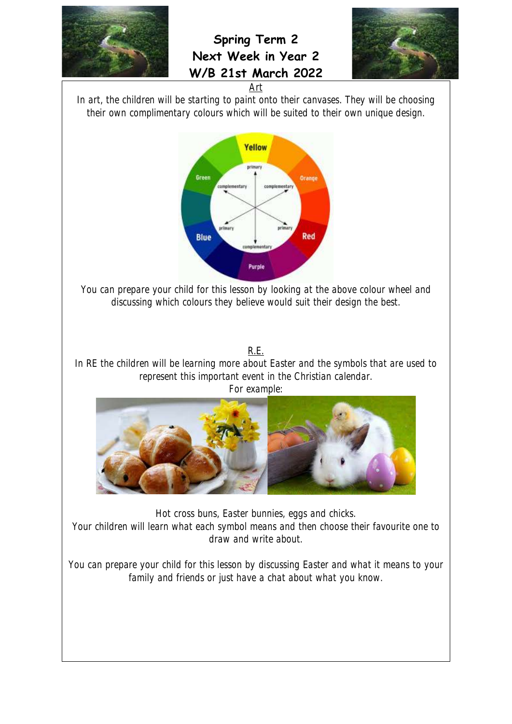

**Spring Term 2 Next Week in Year 2 W/B 21st March 2022**





In art, the children will be starting to paint onto their canvases. They will be choosing their own complimentary colours which will be suited to their own unique design.



You can prepare your child for this lesson by looking at the above colour wheel and discussing which colours they believe would suit their design the best.

R.E.

In RE the children will be learning more about Easter and the symbols that are used to represent this important event in the Christian calendar.





Hot cross buns, Easter bunnies, eggs and chicks.

Your children will learn what each symbol means and then choose their favourite one to draw and write about.

You can prepare your child for this lesson by discussing Easter and what it means to your family and friends or just have a chat about what you know.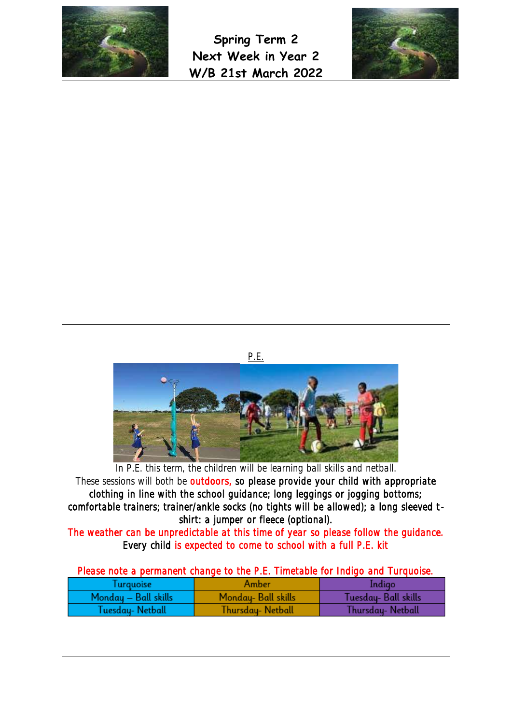



|                                                                                          | P.E.                                                                                                                                                                |                      |
|------------------------------------------------------------------------------------------|---------------------------------------------------------------------------------------------------------------------------------------------------------------------|----------------------|
|                                                                                          |                                                                                                                                                                     |                      |
|                                                                                          |                                                                                                                                                                     |                      |
|                                                                                          |                                                                                                                                                                     |                      |
|                                                                                          | In P.E. this term, the children will be learning ball skills and netball.                                                                                           |                      |
|                                                                                          | These sessions will both be outdoors, so please provide your child with appropriate<br>clothing in line with the school guidance; long leggings or jogging bottoms; |                      |
| comfortable trainers; trainer/ankle socks (no tights will be allowed); a long sleeved t- | shirt: a jumper or fleece (optional).                                                                                                                               |                      |
| The weather can be unpredictable at this time of year so please follow the guidance.     | Every child is expected to come to school with a full P.E. kit                                                                                                      |                      |
|                                                                                          | Please note a permanent change to the P.E. Timetable for Indigo and Turquoise.                                                                                      |                      |
| Turquoise                                                                                | Amber                                                                                                                                                               | Indigo               |
| Monday — Ball skills                                                                     | Monday- Ball skills                                                                                                                                                 | Tuesday- Ball skills |
| Tuesday-Netball                                                                          | <b>Thursday-Netball</b>                                                                                                                                             | Thursday-Netball     |
|                                                                                          |                                                                                                                                                                     |                      |
|                                                                                          |                                                                                                                                                                     |                      |
|                                                                                          |                                                                                                                                                                     |                      |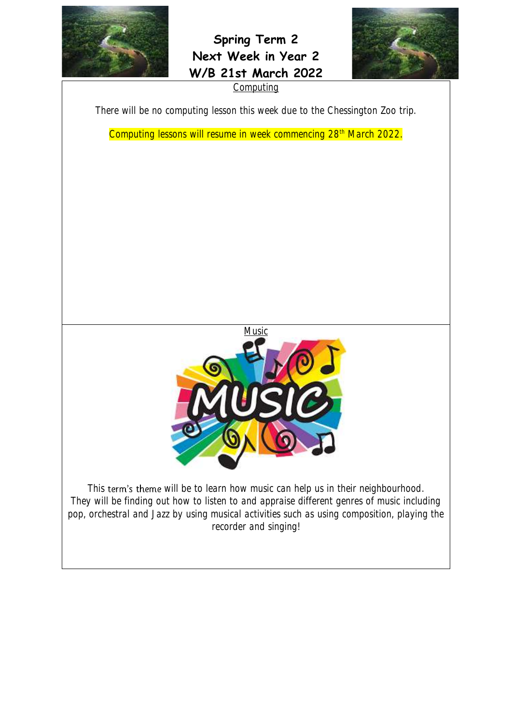



**Computing** 

There will be no computing lesson this week due to the Chessington Zoo trip.

Computing lessons will resume in week commencing 28<sup>th</sup> March 2022.



This term's theme will be to learn how music can help us in their neighbourhood. They will be finding out how to listen to and appraise different genres of music including pop, orchestral and Jazz by using musical activities such as using composition, playing the recorder and singing!